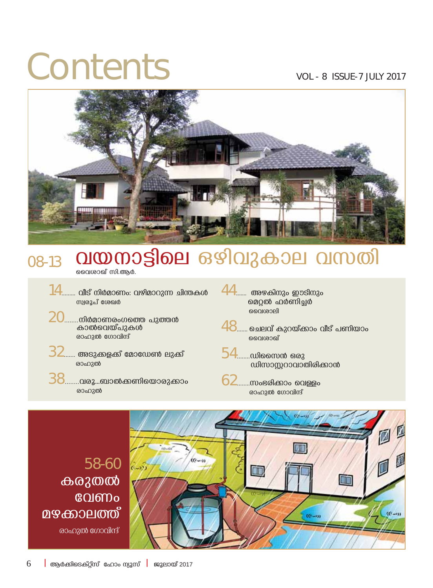## Contents VOL - 8 ISSUE-7 JULY 2017



### <sub>08-13</sub> **വയനാട്ടിലെ** ഒഴിവുകാല വസതി

- ചൈശാഖ്<sup>,</sup> സി.ആർ.
- $14$ .......... വീട് നിർമാണം: വഴിമാറുന്ന ചിന്തകൾ സ്വര<u>ു</u>പ് ശേഖർ
- $20$ .........നിർമാണരംഗത്തെ പുത്തൻ കാൽവെയ്പുകൾ രാഹുൽ ഗോവിന്ദ്
- $32$ ........ അടുക്കളക്ക് മോഡേൺ ലുക്ക് രാഹുൽ
- 38........**hcq...\_m¬°Wnsbmcp°mw** രാഹുൽ
- $44$ ........ അഴകിനും ഈടിനും **മെറ്റൽ ഫർണിച്ചർ .**<br>മവെശാലി
- $48$ ....... ചെലവ് കുറയ്ക്കാം വീട് പണിയാം കവശാഖ<mark>ീ</mark>
- $54$ ........ഡിസൈൻ ഒരു w]സാസറാവാതിരിക്കാൻ
- $62$ ........സംഭരിക്കാം വെള്ളം രാഹുൽ ഗോവിന്ദ്



### $6$  **b** ആർക്കിടെക്റ്സ് ഹോം ന്യൂസ് **b** ജൂലായ് 2017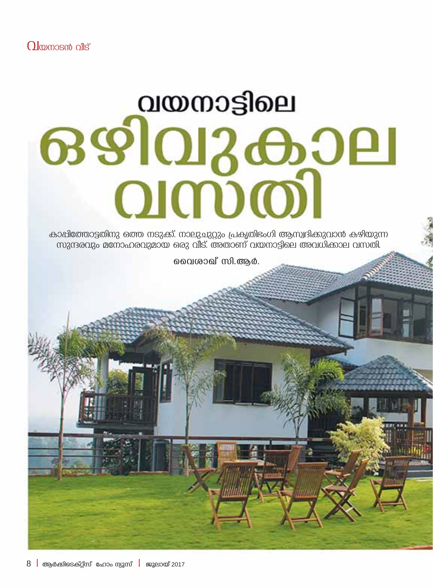# വയനാട്ടിലെ ഒഴിവുകാല **QIMDO**

കാപ്പിത്തോട്ടതിനു ഒത്ത നടുക്ക്. നാലുചുറ്റും പ്രകൃതിഭംഗി ആസ്വദിക്കുവാൻ കഴിയുന്ന <u>waracuzo മനോഹരവുമായ ഒരു വീട്. അതാണ് വയനാട്ടിലെ അവധിക്കാല വസതി.</u>

മൈശാഖ് സി.ആർ.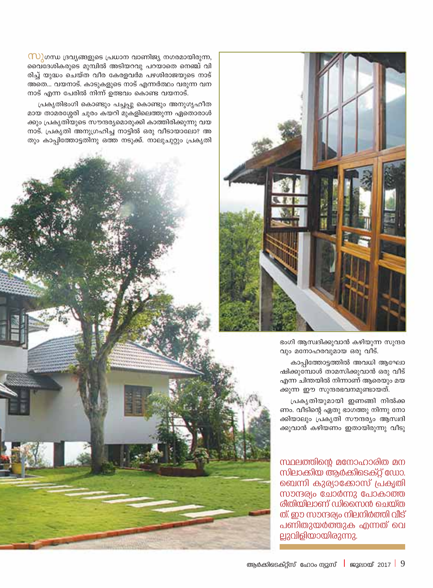

ഭംഗി ആസ്വദിക്കുവാൻ കഴിയുന്ന സുന്ദര വും മനോഹരവുമായ ഒരു വീട്.

കാപ്പിത്തോട്ടത്തിൽ അവധി ആഘോ ഷിക്കുമ്പോൾ താമസിക്കുവാൻ ഒരു വീട് എന്ന ചിന്തയിൽ നിന്നാണ് ആരെയും മയ ക്കുന്ന ഈ സുന്ദരഭവനമുണ്ടായത്.

പ്രകൃതിയുമായി ഇണങ്ങി നിൽക്ക ണം. വീടിന്റെ ഏതു ഭാഗത്തു നിന്നു നോ ക്കിയാലും പ്രകൃതി സൗന്ദര്യം ആസ്വദി ക്കുവാൻ കഴിയണം ഇതായിരുന്നു വീടു

സ്ഥലത്തിന്റെ മനോഹാരിത മന സിലാക്കിയ ആർക്കിടെക്റ്റ് ഡോ. ബെന്നി കുര്യാക്കോസ് പ്രകൃതി സാന്ദര്യം ചോർന്നു പോകാത്ത രീതിയിലാണ് ഡിസൈൻ ചെയ്ത ത്. ഈ സാന്ദര്യം നിലനിർത്തി വീട് പണിതുയർത്തുക എന്നത് വെ ല്ലുവിളിയായിരുന്നു.

 $\omega$ ിഗന്ധ ദ്രവ്യങ്ങളുടെ പ്രധാന വാണിജ്യ നഗരമായിരുന്ന, വൈദേശികരുടെ മുമ്പിൽ അടിയറവു പറയാതെ നെഞ്ച് വി രിച്ച് യുദ്ധം ചെയ്ത വീര കേരളവർമ പഴശിരാജയുടെ നാട് അതെ... വയനാട്. കാടുകളുടെ നാട് എന്നർത്ഥം വരുന്ന വന നാട് എന്ന പേരിൽ നിന്ന് ഉത്ഭവം കൊണ്ട വയനാട്.

പ്രകൃതിഭംഗി കൊണ്ടും പച്ചപ്പു കൊണ്ടും അനുഗൃഹീത മായ താമരശ്ശേരി ചുരം കയറി മുകളിലെത്തുന്ന ഏതൊരാൾ ക്കും പ്രകൃതിയുടെ സൗന്ദര്യമൊരുക്കി കാത്തിരിക്കുന്നു വയ നാട്. പ്രകൃതി അനുഗ്രഹിച്ച നാട്ടിൽ ഒരു വീടായാലോ? അ തും കാപ്പിത്തോട്ടതിനു ഒത്ത നടുക്ക്. നാലുചുറ്റും പ്രകൃതി

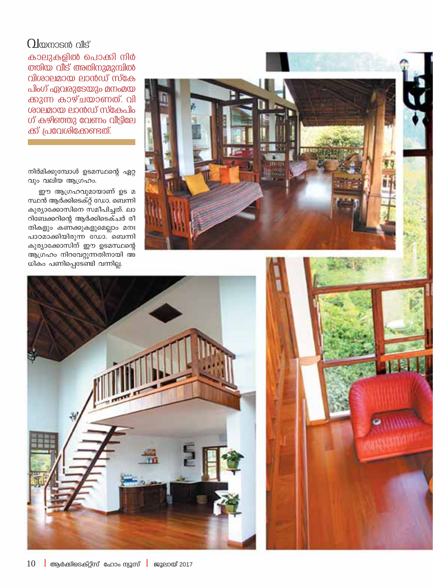#### $\Omega$ loomosan alls

കാലുകളിൽ പൊക്കി നിർ ത്തിയ വീട് അതിനുമുമ്പിൽ വിശാലമായ ലാൻഡ് സ്കേ പിംഗ് ഏവരുടേയും മനംമയ ക്കുന്ന കാഴ്ചയാണത്. വി ശാലമായ ലാൻഡ് സ്കേപിം ഗ് കഴിഞ്ഞു വേണം വീട്ടിലേ ക്ക് പ്രവേശിക്കേണ്ടത്.

നിർമിക്കുമ്പോൾ ഉടമസ്ഥന്റെ ഏറ്റ വും വലിയ ആഗ്രഹം.

ഈ ആഗ്രഹവുമായാണ് ഉട മ സ്ഥൻ ആർക്കിടെക്റ്റ് ഡോ. ബെന്നി കുര്യാക്കോസിനെ സമീപിച്ചത്. ലാ റിബേക്കറിന്റെ ആർക്കിടെക്ചർ രീ തികളും കണക്കുകളുമെല്ലാം മനഃ പാഠമാക്കിയിരുന്ന ഡോ. ബെന്നി കുര്യാക്കോസിന് ഈ ഉടമസ്ഥന്റെ ആഗ്രഹം നിറവേറ്റുന്നതിനായി അ ധികം പണിപ്പെടേണ്ടി വന്നില്ല.





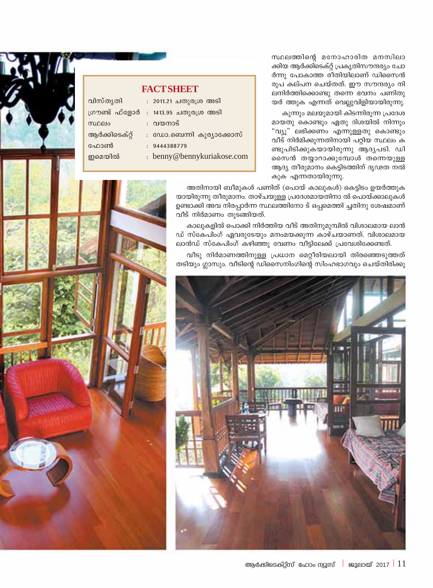സ്ഥലത്തിന്റെ മനോഹാരിത മനസിലാ ക്കിയ ആർക്കിടെക്റ്റ് പ്രകൃതിസൗന്ദര്യം ചോ ർന്നു പോകാത്ത രീതിയിലാണ് ഡിസൈൻ രുപ കല്പന ചെയ്തത്. ഈ സൗന്ദര്യം നി ലനിർത്തിക്കൊണ്ടു തന്നെ ഭവനം പണിതു യർ ത്തുക എന്നത് വെല്ലുവിളിയായിരുന്നു.

കുന്നും മലയുമായി കിടന്നിരുന്ന പ്രദേശ മായതു കൊണ്ടും ഏതു ദിശയിൽ നിന്നും "വ്യൂ" ലഭിക്കണം എന്നുള്ളതു കൊണ്ടും വീട് നിർമിക്കുന്നതിനായി പറ്റിയ സ്ഥലം ക ണ്ടുപിടിക്കുകയായിരുന്നു ആദ്യപടി. ഡി സൈൻ തയ്യാറാക്കുമ്പോൾ തന്നെയുള്ള ആദ്യ തീരുമാനം കെട്ടിടത്തിന് ദൃഢത നൽ കുക എന്നതായിരുന്നു.

| <b>FACT SHEET</b> |  |                            |
|-------------------|--|----------------------------|
| വിസ്തൃതി          |  | : 2011.21 ചതുരശ്ര അടി      |
| ഗൗണ്ട് ഫ്ളോർ      |  | : 1413.95 ചതുരശ്ര അടി      |
| സ്ഥലം             |  | : വയനാട്                   |
| ആർക്കിടെക്റ്റ്    |  | : ഡോ.ബെന്നി കുര്യാക്കോസ്   |
| ഫോൺ               |  | : 9444388779               |
| ഇമെയിൽ            |  | : benny@bennykuriakose.com |
|                   |  |                            |

അതിനായി ബീമുകൾ പണിത് (പൊയ് കാലുകൾ) കെട്ടിടം ഉയർത്തുക യായിരുന്നു തീരുമാനം. താഴ്ചയുള്ള പ്രദേശമായതിനാ ൽ പൊയ്ക്കാലുകൾ ഉണ്ടാക്കി അവ നിരപ്പാർന്ന സ്ഥലത്തിനോ ട് ഒപ്പമെത്തി ച്ചതിനു ശേഷമാണ് വീട് നിർമാണം തുടങ്ങിയത്.

കാലുകളിൽ പൊക്കി നിർത്തിയ വീട് അതിനുമുമ്പിൽ വിശാലമായ ലാൻ ഡ് സ്കേപിംഗ് ഏവരുടേയും മനംമയക്കുന്ന കാഴ്ചയാണത്. വിശാലമായ ലാൻഡ് സ്കേപിംഗ് കഴിഞ്ഞു വേണം വീട്ടിലേക്ക് പ്രവേശിക്കേണ്ടത്.

വീടു നിർമാണത്തിനുള്ള പ്രധാന മെറ്റീരിയലായി തിരഞ്ഞെടുത്തത് തടിയും ഗ്ലാസും. വീടിന്റെ ഡിസൈനിംഗിന്റെ സിംഹഭാഗവും ചെയ്തിരിക്കു



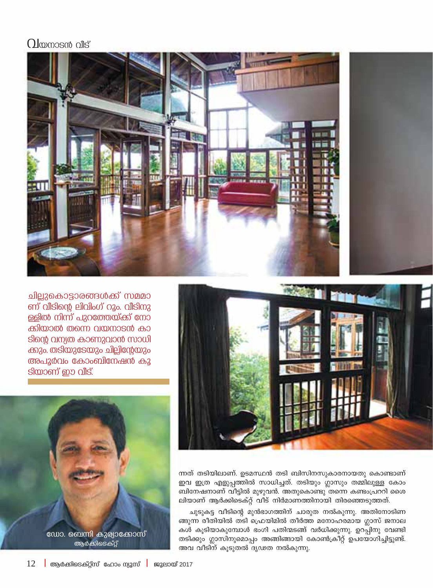#### $\Omega$  kompasat oils





ന്നത് തടിയിലാണ്. ഉടമസ്ഥൻ തടി ബിസിനസുകാരനായതു കൊണ്ടാണ് ഇവ ഇത്ര എളുപ്പത്തിൽ സാധിച്ചത്. തടിയും ഗ്ലാസും തമ്മിലുള്ള കോം ബിനേഷനാണ് വീട്ടിൽ മുഴുവൻ. അതുകൊണ്ടു തന്നെ കണ്ടംപ്രററി ശൈ ലിയാണ് ആർക്കിടെക്റ്റ് വീട് നിർമാണത്തിനായി തിരഞ്ഞെടുത്തത്.

ചുടുകട്ട വീടിന്റെ മുൻഭാഗത്തിന് ചാരുത നൽകുന്നു. അതിനോടിണ ങ്ങുന്ന രീതിയിൽ തടി ഫ്രെയിമിൽ തീർത്ത മനോഹരമായ ഗ്ലാസ് ജനാല കൾ കൂടിയാകുമ്പോൾ ഭംഗി പതിന്മടങ്ങ് വർധിക്കുന്നു. ഉറപ്പിനു വേണ്ടി തടിക്കും ഗ്ലാസിനുമൊപ്പം അങ്ങിങ്ങായി കോൺക്രീറ്റ് ഉപയോഗിച്ചിട്ടുണ്ട്. അവ വീടിന് കൂടുതൽ ദൃഢത നൽകുന്നു.

ചില്ലുകൊട്ടാരങ്ങൾക്ക് സമമാ ണ് വീടിന്റെ ലിവിംഗ് റൂം. വീടിനു ള്ളിൽ നിന്ന് പുറത്തേയ്ക്ക് നോ ക്കിയാൽ തന്നെ വയനാടൻ കാ ടിന്റെ വന്യത കാണുവാൻ സാധി ക്കും. തടിയുടേയും ചില്ലിന്റേയും അപൂർവം കോംബിനേഷൻ കൂ ടിയാണ് ഈ വീട്.



ആർക്കിടെക്റ്റ്